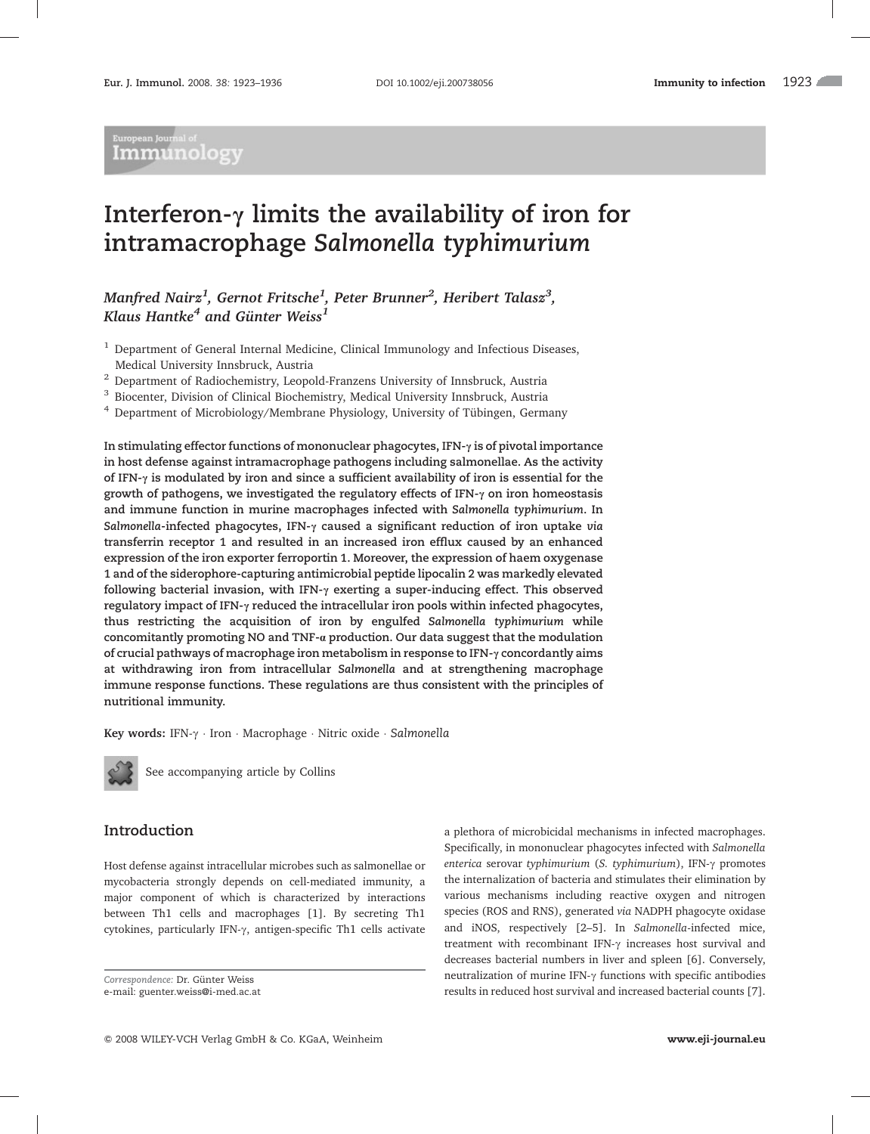# European Journal of<br>-Immunology

# Interferon- $\gamma$  limits the availability of iron for intramacrophage Salmonella typhimurium

# Manfred Nairz $^1$ , Gernot Fritsche $^1$ , Peter Brunner $^2$ , Heribert Talasz $^3$ , Klaus Hantke<sup>4</sup> and Günter Weiss<sup>1</sup>

<sup>1</sup> Department of General Internal Medicine, Clinical Immunology and Infectious Diseases, Medical University Innsbruck, Austria

<sup>2</sup> Department of Radiochemistry, Leopold-Franzens University of Innsbruck, Austria

<sup>3</sup> Biocenter, Division of Clinical Biochemistry, Medical University Innsbruck, Austria

 $4$  Department of Microbiology/Membrane Physiology, University of Tübingen, Germany

In stimulating effector functions of mononuclear phagocytes, IFN- $\gamma$  is of pivotal importance in host defense against intramacrophage pathogens including salmonellae. As the activity of IFN- $\gamma$  is modulated by iron and since a sufficient availability of iron is essential for the growth of pathogens, we investigated the regulatory effects of IFN- $\gamma$  on iron homeostasis and immune function in murine macrophages infected with Salmonella typhimurium. In Salmonella-infected phagocytes, IFN- $\gamma$  caused a significant reduction of iron uptake via transferrin receptor 1 and resulted in an increased iron efflux caused by an enhanced expression of the iron exporter ferroportin 1. Moreover, the expression of haem oxygenase 1 and of the siderophore-capturing antimicrobial peptide lipocalin 2 was markedly elevated following bacterial invasion, with IFN- $\gamma$  exerting a super-inducing effect. This observed regulatory impact of IFN- $\gamma$  reduced the intracellular iron pools within infected phagocytes, thus restricting the acquisition of iron by engulfed Salmonella typhimurium while concomitantly promoting NO and TNF-a production. Our data suggest that the modulation of crucial pathways of macrophage iron metabolism in response to IFN- $\gamma$  concordantly aims at withdrawing iron from intracellular Salmonella and at strengthening macrophage immune response functions. These regulations are thus consistent with the principles of nutritional immunity.

Key words: IFN- $\gamma$  · Iron · Macrophage · Nitric oxide · Salmonella



See accompanying article by Collins

## Introduction

Host defense against intracellular microbes such as salmonellae or mycobacteria strongly depends on cell-mediated immunity, a major component of which is characterized by interactions between Th1 cells and macrophages [1]. By secreting Th1 cytokines, particularly IFN- $\gamma$ , antigen-specific Th1 cells activate

Correspondence: Dr. Günter Weiss

e-mail: guenter.weiss@i-med.ac.at

a plethora of microbicidal mechanisms in infected macrophages. Specifically, in mononuclear phagocytes infected with Salmonella enterica serovar typhimurium (S. typhimurium), IFN- $\gamma$  promotes the internalization of bacteria and stimulates their elimination by various mechanisms including reactive oxygen and nitrogen species (ROS and RNS), generated via NADPH phagocyte oxidase and iNOS, respectively [2–5]. In Salmonella-infected mice, treatment with recombinant IFN- $\gamma$  increases host survival and decreases bacterial numbers in liver and spleen [6]. Conversely, neutralization of murine IFN- $\gamma$  functions with specific antibodies results in reduced host survival and increased bacterial counts [7].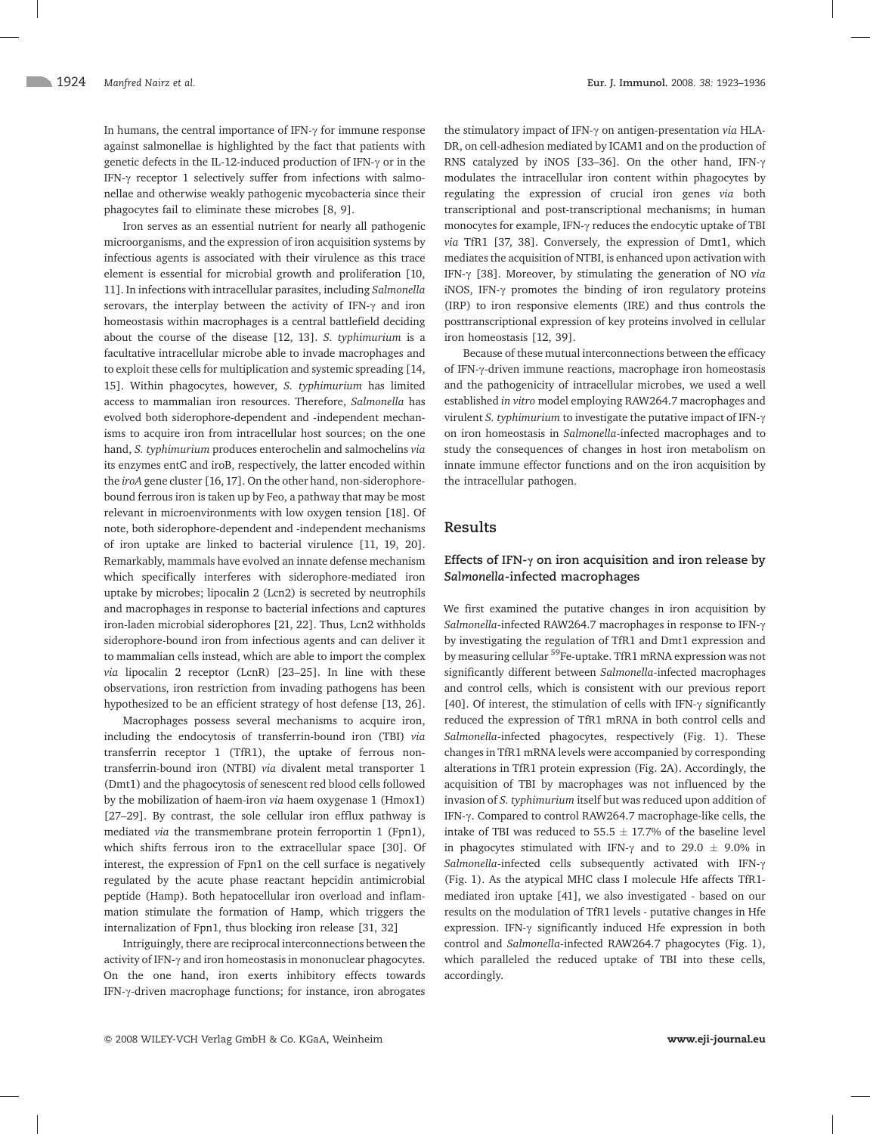In humans, the central importance of IFN- $\gamma$  for immune response against salmonellae is highlighted by the fact that patients with genetic defects in the IL-12-induced production of IFN- $\gamma$  or in the IFN- $\gamma$  receptor 1 selectively suffer from infections with salmonellae and otherwise weakly pathogenic mycobacteria since their phagocytes fail to eliminate these microbes [8, 9].

Iron serves as an essential nutrient for nearly all pathogenic microorganisms, and the expression of iron acquisition systems by infectious agents is associated with their virulence as this trace element is essential for microbial growth and proliferation [10, 11]. In infections with intracellular parasites, including Salmonella serovars, the interplay between the activity of IFN- $\gamma$  and iron homeostasis within macrophages is a central battlefield deciding about the course of the disease [12, 13]. S. typhimurium is a facultative intracellular microbe able to invade macrophages and to exploit these cells for multiplication and systemic spreading [14, 15]. Within phagocytes, however, S. typhimurium has limited access to mammalian iron resources. Therefore, Salmonella has evolved both siderophore-dependent and -independent mechanisms to acquire iron from intracellular host sources; on the one hand, S. typhimurium produces enterochelin and salmochelins via its enzymes entC and iroB, respectively, the latter encoded within the iroA gene cluster [16, 17]. On the other hand, non-siderophorebound ferrous iron is taken up by Feo, a pathway that may be most relevant in microenvironments with low oxygen tension [18]. Of note, both siderophore-dependent and -independent mechanisms of iron uptake are linked to bacterial virulence [11, 19, 20]. Remarkably, mammals have evolved an innate defense mechanism which specifically interferes with siderophore-mediated iron uptake by microbes; lipocalin 2 (Lcn2) is secreted by neutrophils and macrophages in response to bacterial infections and captures iron-laden microbial siderophores [21, 22]. Thus, Lcn2 withholds siderophore-bound iron from infectious agents and can deliver it to mammalian cells instead, which are able to import the complex via lipocalin 2 receptor (LcnR) [23–25]. In line with these observations, iron restriction from invading pathogens has been hypothesized to be an efficient strategy of host defense [13, 26].

Macrophages possess several mechanisms to acquire iron, including the endocytosis of transferrin-bound iron (TBI) via transferrin receptor 1 (TfR1), the uptake of ferrous nontransferrin-bound iron (NTBI) via divalent metal transporter 1 (Dmt1) and the phagocytosis of senescent red blood cells followed by the mobilization of haem-iron via haem oxygenase 1 (Hmox1) [27–29]. By contrast, the sole cellular iron efflux pathway is mediated via the transmembrane protein ferroportin 1 (Fpn1), which shifts ferrous iron to the extracellular space [30]. Of interest, the expression of Fpn1 on the cell surface is negatively regulated by the acute phase reactant hepcidin antimicrobial peptide (Hamp). Both hepatocellular iron overload and inflammation stimulate the formation of Hamp, which triggers the internalization of Fpn1, thus blocking iron release [31, 32]

Intriguingly, there are reciprocal interconnections between the activity of IFN- $\gamma$  and iron homeostasis in mononuclear phagocytes. On the one hand, iron exerts inhibitory effects towards IFN- $\gamma$ -driven macrophage functions; for instance, iron abrogates

the stimulatory impact of IFN- $\gamma$  on antigen-presentation via HLA-DR, on cell-adhesion mediated by ICAM1 and on the production of RNS catalyzed by iNOS [33-36]. On the other hand, IFN- $\gamma$ modulates the intracellular iron content within phagocytes by regulating the expression of crucial iron genes via both transcriptional and post-transcriptional mechanisms; in human monocytes for example, IFN- $\gamma$  reduces the endocytic uptake of TBI via TfR1 [37, 38]. Conversely, the expression of Dmt1, which mediates the acquisition of NTBI, is enhanced upon activation with IFN- $\gamma$  [38]. Moreover, by stimulating the generation of NO via iNOS, IFN- $\gamma$  promotes the binding of iron regulatory proteins (IRP) to iron responsive elements (IRE) and thus controls the posttranscriptional expression of key proteins involved in cellular iron homeostasis [12, 39].

Because of these mutual interconnections between the efficacy of IFN-y-driven immune reactions, macrophage iron homeostasis and the pathogenicity of intracellular microbes, we used a well established in vitro model employing RAW264.7 macrophages and virulent S. typhimurium to investigate the putative impact of IFN- $\gamma$ on iron homeostasis in Salmonella-infected macrophages and to study the consequences of changes in host iron metabolism on innate immune effector functions and on the iron acquisition by the intracellular pathogen.

## Results

## Effects of IFN- $\gamma$  on iron acquisition and iron release by Salmonella-infected macrophages

We first examined the putative changes in iron acquisition by Salmonella-infected RAW264.7 macrophages in response to IFN- $\gamma$ by investigating the regulation of TfR1 and Dmt1 expression and by measuring cellular <sup>59</sup>Fe-uptake. TfR1 mRNA expression was not significantly different between Salmonella-infected macrophages and control cells, which is consistent with our previous report [40]. Of interest, the stimulation of cells with IFN- $\gamma$  significantly reduced the expression of TfR1 mRNA in both control cells and Salmonella-infected phagocytes, respectively (Fig. 1). These changes in TfR1 mRNA levels were accompanied by corresponding alterations in TfR1 protein expression (Fig. 2A). Accordingly, the acquisition of TBI by macrophages was not influenced by the invasion of S. typhimurium itself but was reduced upon addition of IFN- $\gamma$ . Compared to control RAW264.7 macrophage-like cells, the intake of TBI was reduced to  $55.5 \pm 17.7\%$  of the baseline level in phagocytes stimulated with IFN- $\gamma$  and to 29.0  $\pm$  9.0% in Salmonella-infected cells subsequently activated with IFN- $\gamma$ (Fig. 1). As the atypical MHC class I molecule Hfe affects TfR1 mediated iron uptake [41], we also investigated - based on our results on the modulation of TfR1 levels - putative changes in Hfe expression. IFN- $\gamma$  significantly induced Hfe expression in both control and Salmonella-infected RAW264.7 phagocytes (Fig. 1), which paralleled the reduced uptake of TBI into these cells, accordingly.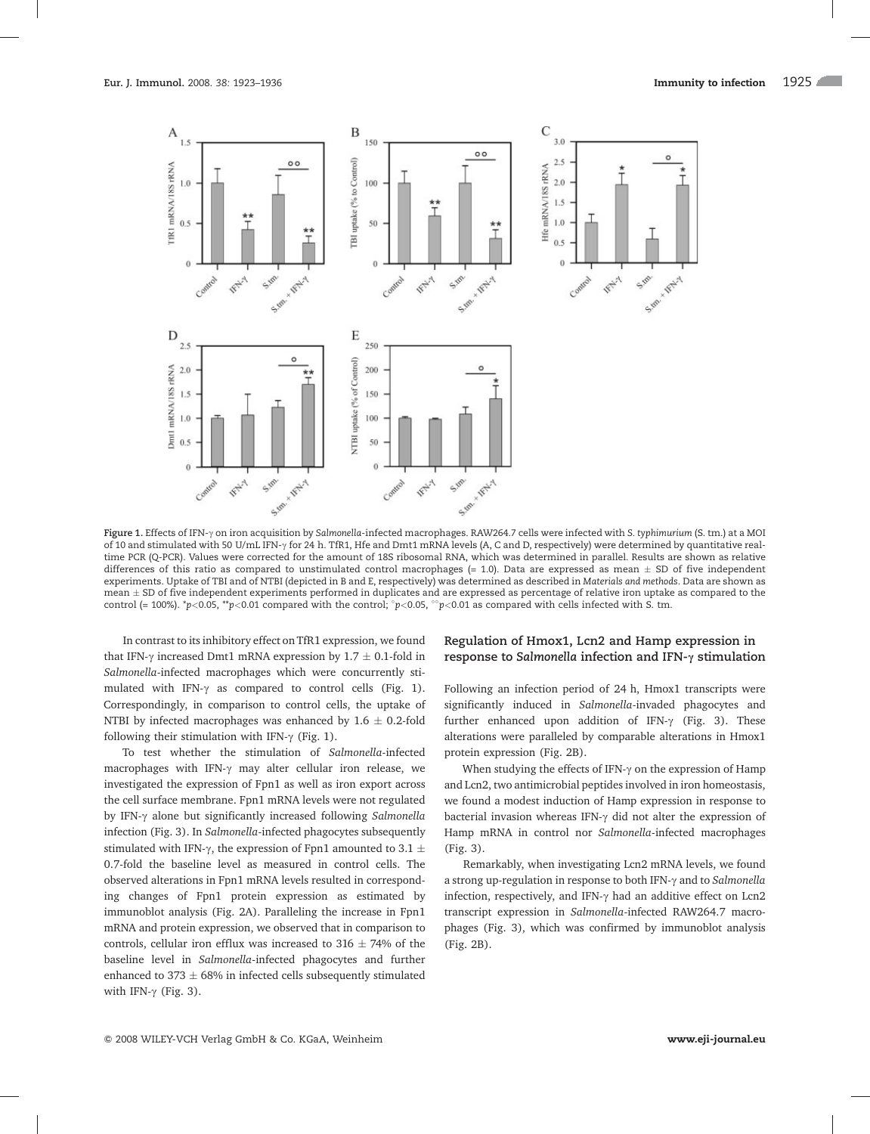

Figure 1. Effects of IFN- $\gamma$  on iron acquisition by Salmonella-infected macrophages. RAW264.7 cells were infected with S. typhimurium (S. tm.) at a MOI of 10 and stimulated with 50 U/mL IFN- $\gamma$  for 24 h. TfR1, Hfe and Dmt1 mRNA levels (A, C and D, respectively) were determined by quantitative realtime PCR (Q-PCR). Values were corrected for the amount of 18S ribosomal RNA, which was determined in parallel. Results are shown as relative differences of this ratio as compared to unstimulated control macrophages (= 1.0). Data are expressed as mean  $\pm$  SD of five independent experiments. Uptake of TBI and of NTBI (depicted in B and E, respectively) was determined as described in Materials and methods. Data are shown as mean  $\pm$  SD of five independent experiments performed in duplicates and are expressed as percentage of relative iron uptake as compared to the control (= 100%). \*p<0.05, \*\*p<0.01 compared with the control;  $^{\circ}p$ <0.05,  $^{\circ}$ °p<0.01 as compared with cells infected with S. tm.

In contrast to its inhibitory effect on TfR1 expression, we found that IFN- $\gamma$  increased Dmt1 mRNA expression by 1.7  $\pm$  0.1-fold in Salmonella-infected macrophages which were concurrently stimulated with IFN- $\gamma$  as compared to control cells (Fig. 1). Correspondingly, in comparison to control cells, the uptake of NTBI by infected macrophages was enhanced by 1.6  $\pm$  0.2-fold following their stimulation with IFN- $\gamma$  (Fig. 1).

To test whether the stimulation of Salmonella-infected macrophages with IFN- $\gamma$  may alter cellular iron release, we investigated the expression of Fpn1 as well as iron export across the cell surface membrane. Fpn1 mRNA levels were not regulated by IFN- $\gamma$  alone but significantly increased following Salmonella infection (Fig. 3). In Salmonella-infected phagocytes subsequently stimulated with IFN- $\gamma$ , the expression of Fpn1 amounted to 3.1  $\pm$ 0.7-fold the baseline level as measured in control cells. The observed alterations in Fpn1 mRNA levels resulted in corresponding changes of Fpn1 protein expression as estimated by immunoblot analysis (Fig. 2A). Paralleling the increase in Fpn1 mRNA and protein expression, we observed that in comparison to controls, cellular iron efflux was increased to 316  $\pm$  74% of the baseline level in Salmonella-infected phagocytes and further enhanced to 373  $\pm$  68% in infected cells subsequently stimulated with IFN- $\gamma$  (Fig. 3).

### Regulation of Hmox1, Lcn2 and Hamp expression in response to Salmonella infection and IFN- $\gamma$  stimulation

Following an infection period of 24 h, Hmox1 transcripts were significantly induced in Salmonella-invaded phagocytes and further enhanced upon addition of IFN- $\gamma$  (Fig. 3). These alterations were paralleled by comparable alterations in Hmox1 protein expression (Fig. 2B).

When studying the effects of IFN- $\gamma$  on the expression of Hamp and Lcn2, two antimicrobial peptides involved in iron homeostasis, we found a modest induction of Hamp expression in response to bacterial invasion whereas IFN- $\gamma$  did not alter the expression of Hamp mRNA in control nor Salmonella-infected macrophages (Fig. 3).

Remarkably, when investigating Lcn2 mRNA levels, we found a strong up-regulation in response to both IFN- $\gamma$  and to Salmonella infection, respectively, and IFN- $\gamma$  had an additive effect on Lcn2 transcript expression in Salmonella-infected RAW264.7 macrophages (Fig. 3), which was confirmed by immunoblot analysis (Fig. 2B).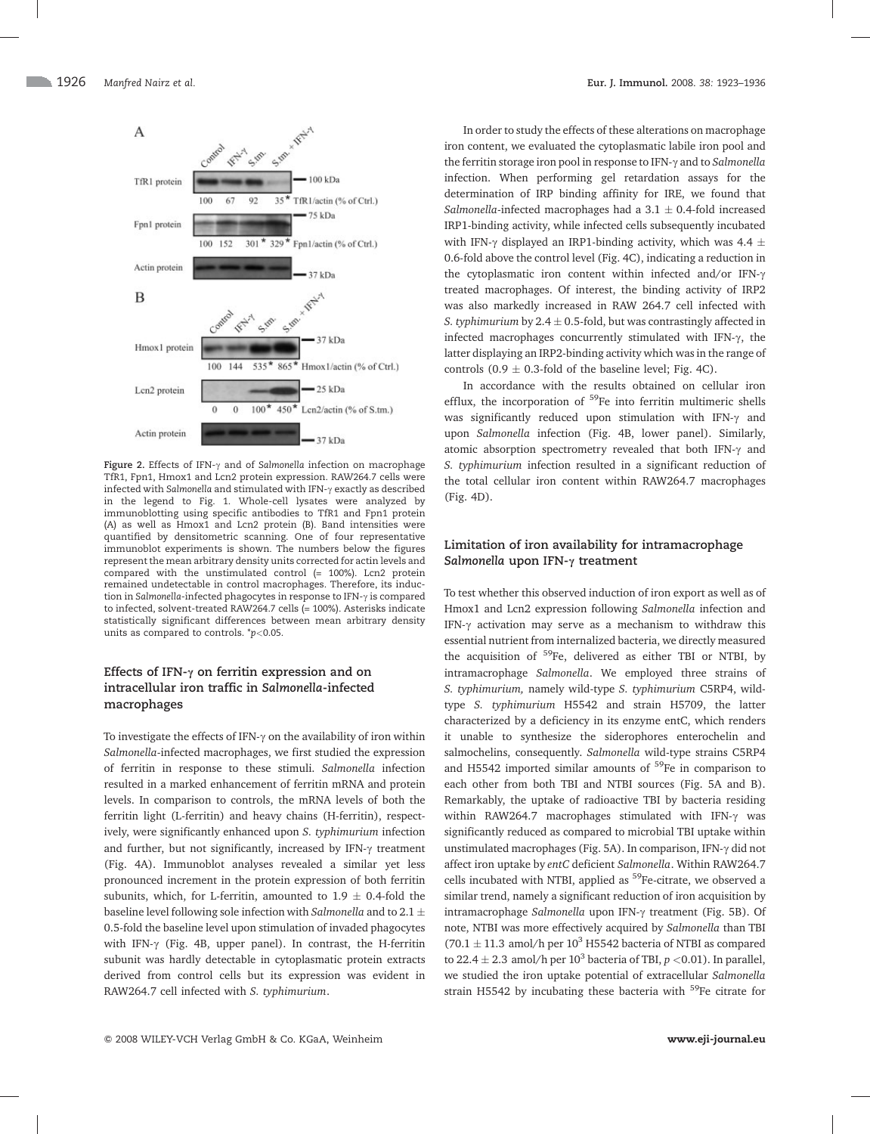

Figure 2. Effects of IFN- $\gamma$  and of Salmonella infection on macrophage TfR1, Fpn1, Hmox1 and Lcn2 protein expression. RAW264.7 cells were infected with Salmonella and stimulated with IFN- $\gamma$  exactly as described in the legend to Fig. 1. Whole-cell lysates were analyzed by immunoblotting using specific antibodies to TfR1 and Fpn1 protein (A) as well as Hmox1 and Lcn2 protein (B). Band intensities were quantified by densitometric scanning. One of four representative immunoblot experiments is shown. The numbers below the figures represent the mean arbitrary density units corrected for actin levels and compared with the unstimulated control (= 100%). Lcn2 protein remained undetectable in control macrophages. Therefore, its induction in Salmonella-infected phagocytes in response to IFN- $\gamma$  is compared to infected, solvent-treated RAW264.7 cells (= 100%). Asterisks indicate statistically significant differences between mean arbitrary density units as compared to controls.  $p<0.05$ .

## Effects of IFN- $\gamma$  on ferritin expression and on intracellular iron traffic in Salmonella-infected macrophages

To investigate the effects of IFN- $\gamma$  on the availability of iron within Salmonella-infected macrophages, we first studied the expression of ferritin in response to these stimuli. Salmonella infection resulted in a marked enhancement of ferritin mRNA and protein levels. In comparison to controls, the mRNA levels of both the ferritin light (L-ferritin) and heavy chains (H-ferritin), respectively, were significantly enhanced upon S. typhimurium infection and further, but not significantly, increased by IFN- $\gamma$  treatment (Fig. 4A). Immunoblot analyses revealed a similar yet less pronounced increment in the protein expression of both ferritin subunits, which, for L-ferritin, amounted to 1.9  $\pm$  0.4-fold the baseline level following sole infection with Salmonella and to 2.1  $\pm$ 0.5-fold the baseline level upon stimulation of invaded phagocytes with IFN- $\gamma$  (Fig. 4B, upper panel). In contrast, the H-ferritin subunit was hardly detectable in cytoplasmatic protein extracts derived from control cells but its expression was evident in RAW264.7 cell infected with S. typhimurium.

In order to study the effects of these alterations on macrophage iron content, we evaluated the cytoplasmatic labile iron pool and the ferritin storage iron pool in response to IFN- $\gamma$  and to Salmonella infection. When performing gel retardation assays for the determination of IRP binding affinity for IRE, we found that *Salmonella*-infected macrophages had a  $3.1 \pm 0.4$ -fold increased IRP1-binding activity, while infected cells subsequently incubated with IFN- $\gamma$  displayed an IRP1-binding activity, which was 4.4  $\pm$ 0.6-fold above the control level (Fig. 4C), indicating a reduction in the cytoplasmatic iron content within infected and/or IFN- $\gamma$ treated macrophages. Of interest, the binding activity of IRP2 was also markedly increased in RAW 264.7 cell infected with *S. typhimurium* by 2.4  $\pm$  0.5-fold, but was contrastingly affected in infected macrophages concurrently stimulated with IFN- $\gamma$ , the latter displaying an IRP2-binding activity which was in the range of controls (0.9  $\pm$  0.3-fold of the baseline level; Fig. 4C).

In accordance with the results obtained on cellular iron efflux, the incorporation of <sup>59</sup>Fe into ferritin multimeric shells was significantly reduced upon stimulation with IFN- $\gamma$  and upon Salmonella infection (Fig. 4B, lower panel). Similarly, atomic absorption spectrometry revealed that both IFN- $\gamma$  and S. typhimurium infection resulted in a significant reduction of the total cellular iron content within RAW264.7 macrophages (Fig. 4D).

## Limitation of iron availability for intramacrophage Salmonella upon IFN- $\gamma$  treatment

To test whether this observed induction of iron export as well as of Hmox1 and Lcn2 expression following Salmonella infection and IFN- $\gamma$  activation may serve as a mechanism to withdraw this essential nutrient from internalized bacteria, we directly measured the acquisition of <sup>59</sup>Fe, delivered as either TBI or NTBI, by intramacrophage Salmonella. We employed three strains of S. typhimurium, namely wild-type S. typhimurium C5RP4, wildtype S. typhimurium H5542 and strain H5709, the latter characterized by a deficiency in its enzyme entC, which renders it unable to synthesize the siderophores enterochelin and salmochelins, consequently. Salmonella wild-type strains C5RP4 and H5542 imported similar amounts of  $59$ Fe in comparison to each other from both TBI and NTBI sources (Fig. 5A and B). Remarkably, the uptake of radioactive TBI by bacteria residing within RAW264.7 macrophages stimulated with IFN- $\gamma$  was significantly reduced as compared to microbial TBI uptake within unstimulated macrophages (Fig. 5A). In comparison, IFN- $\gamma$  did not affect iron uptake by entC deficient Salmonella. Within RAW264.7 cells incubated with NTBI, applied as <sup>59</sup>Fe-citrate, we observed a similar trend, namely a significant reduction of iron acquisition by intramacrophage Salmonella upon IFN- $\gamma$  treatment (Fig. 5B). Of note, NTBI was more effectively acquired by Salmonella than TBI (70.1  $\pm$  11.3 amol/h per 10<sup>3</sup> H5542 bacteria of NTBI as compared to 22.4  $\pm$  2.3 amol/h per 10<sup>3</sup> bacteria of TBI,  $p < 0.01$ ). In parallel, we studied the iron uptake potential of extracellular Salmonella strain H5542 by incubating these bacteria with  $59$ Fe citrate for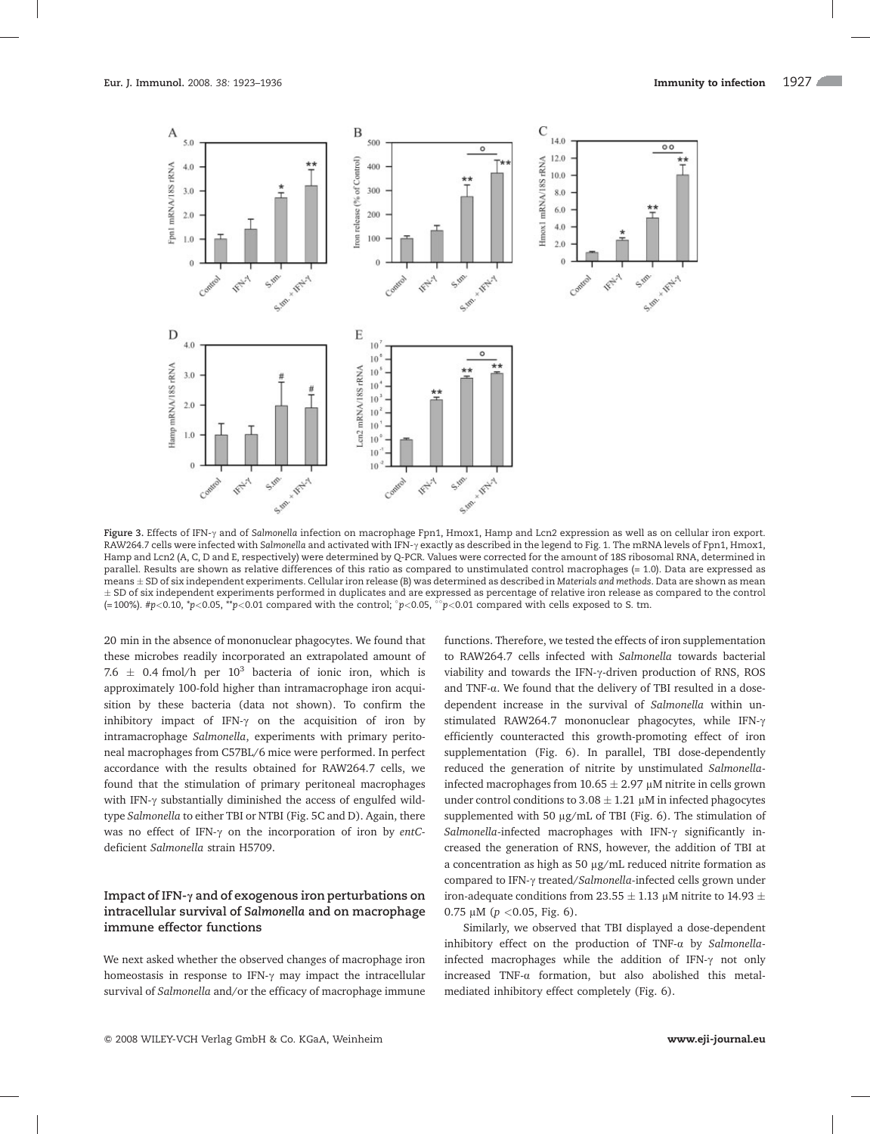

Figure 3. Effects of IFN- $\gamma$  and of Salmonella infection on macrophage Fpn1, Hmox1, Hamp and Lcn2 expression as well as on cellular iron export. RAW264.7 cells were infected with Salmonella and activated with IFN- $\gamma$  exactly as described in the legend to Fig. 1. The mRNA levels of Fpn1, Hmox1, Hamp and Lcn2 (A, C, D and E, respectively) were determined by Q-PCR. Values were corrected for the amount of 18S ribosomal RNA, determined in parallel. Results are shown as relative differences of this ratio as compared to unstimulated control macrophages (= 1.0). Data are expressed as means  $\pm$  SD of six independent experiments. Cellular iron release (B) was determined as described in Materials and methods. Data are shown as mean  $\pm$  SD of six independent experiments performed in duplicates and are expressed as percentage of relative iron release as compared to the control (=100%). #p<0.10, \*p<0.05, \*\*p<0.01 compared with the control;  $^{\circ}$ p<0.05,  $^{\circ}$ p<0.01 compared with cells exposed to S. tm.

20 min in the absence of mononuclear phagocytes. We found that these microbes readily incorporated an extrapolated amount of 7.6  $\pm$  0.4 fmol/h per 10<sup>3</sup> bacteria of ionic iron, which is approximately 100-fold higher than intramacrophage iron acquisition by these bacteria (data not shown). To confirm the inhibitory impact of IFN- $\gamma$  on the acquisition of iron by intramacrophage Salmonella, experiments with primary peritoneal macrophages from C57BL/6 mice were performed. In perfect accordance with the results obtained for RAW264.7 cells, we found that the stimulation of primary peritoneal macrophages with IFN- $\gamma$  substantially diminished the access of engulfed wildtype Salmonella to either TBI or NTBI (Fig. 5C and D). Again, there was no effect of IFN- $\gamma$  on the incorporation of iron by entCdeficient Salmonella strain H5709.

## Impact of IFN- $\gamma$  and of exogenous iron perturbations on intracellular survival of Salmonella and on macrophage immune effector functions

We next asked whether the observed changes of macrophage iron homeostasis in response to IFN- $\gamma$  may impact the intracellular survival of Salmonella and/or the efficacy of macrophage immune

functions. Therefore, we tested the effects of iron supplementation to RAW264.7 cells infected with Salmonella towards bacterial viability and towards the IFN- $\gamma$ -driven production of RNS, ROS and TNF- $\alpha$ . We found that the delivery of TBI resulted in a dosedependent increase in the survival of Salmonella within unstimulated RAW264.7 mononuclear phagocytes, while IFN- $\gamma$ efficiently counteracted this growth-promoting effect of iron supplementation (Fig. 6). In parallel, TBI dose-dependently reduced the generation of nitrite by unstimulated Salmonellainfected macrophages from 10.65  $\pm$  2.97  $\mu$ M nitrite in cells grown under control conditions to  $3.08 \pm 1.21 \, \mu$ M in infected phagocytes supplemented with 50  $\mu$ g/mL of TBI (Fig. 6). The stimulation of Salmonella-infected macrophages with IFN- $\gamma$  significantly increased the generation of RNS, however, the addition of TBI at a concentration as high as 50  $\mu$ g/mL reduced nitrite formation as compared to IFN- $\gamma$  treated/Salmonella-infected cells grown under iron-adequate conditions from 23.55  $\pm$  1.13 µM nitrite to 14.93  $\pm$ 0.75  $\mu$ M ( $p$  < 0.05, Fig. 6).

Similarly, we observed that TBI displayed a dose-dependent inhibitory effect on the production of TNF- $\alpha$  by Salmonellainfected macrophages while the addition of IFN- $\gamma$  not only increased TNF-a formation, but also abolished this metalmediated inhibitory effect completely (Fig. 6).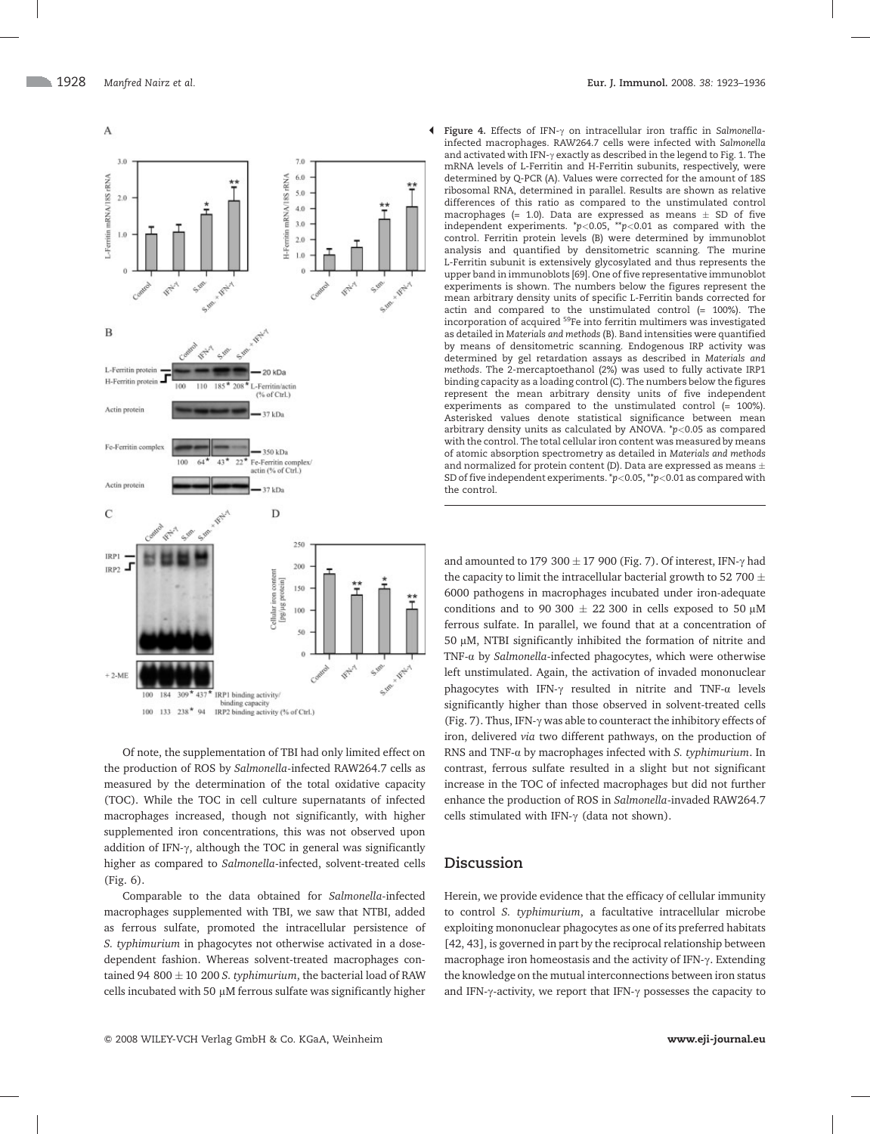

Of note, the supplementation of TBI had only limited effect on the production of ROS by Salmonella-infected RAW264.7 cells as measured by the determination of the total oxidative capacity (TOC). While the TOC in cell culture supernatants of infected macrophages increased, though not significantly, with higher supplemented iron concentrations, this was not observed upon addition of IFN- $\gamma$ , although the TOC in general was significantly higher as compared to Salmonella-infected, solvent-treated cells (Fig. 6).

Comparable to the data obtained for Salmonella-infected macrophages supplemented with TBI, we saw that NTBI, added as ferrous sulfate, promoted the intracellular persistence of S. typhimurium in phagocytes not otherwise activated in a dosedependent fashion. Whereas solvent-treated macrophages contained 94 800  $\pm$  10 200 S. typhimurium, the bacterial load of RAW cells incubated with 50  $\mu$ M ferrous sulfate was significantly higher

· Figure 4. Effects of IFN-c on intracellular iron traffic in Salmonellainfected macrophages. RAW264.7 cells were infected with Salmonella and activated with IFN- $\gamma$  exactly as described in the legend to Fig. 1. The mRNA levels of L-Ferritin and H-Ferritin subunits, respectively, were determined by Q-PCR (A). Values were corrected for the amount of 18S ribosomal RNA, determined in parallel. Results are shown as relative differences of this ratio as compared to the unstimulated control macrophages (= 1.0). Data are expressed as means  $\pm$  SD of five independent experiments.  $\frac{p}{0.05}$ ,  $\frac{p}{0.01}$  as compared with the control. Ferritin protein levels (B) were determined by immunoblot analysis and quantified by densitometric scanning. The murine L-Ferritin subunit is extensively glycosylated and thus represents the upper band in immunoblots [69]. One of five representative immunoblot experiments is shown. The numbers below the figures represent the mean arbitrary density units of specific L-Ferritin bands corrected for actin and compared to the unstimulated control (= 100%). The incorporation of acquired 59Fe into ferritin multimers was investigated as detailed in Materials and methods (B). Band intensities were quantified by means of densitometric scanning. Endogenous IRP activity was determined by gel retardation assays as described in Materials and methods. The 2-mercaptoethanol (2%) was used to fully activate IRP1 binding capacity as a loading control (C). The numbers below the figures represent the mean arbitrary density units of five independent experiments as compared to the unstimulated control (= 100%). Asterisked values denote statistical significance between mean arbitrary density units as calculated by ANOVA.  $p<0.05$  as compared with the control. The total cellular iron content was measured by means of atomic absorption spectrometry as detailed in Materials and methods and normalized for protein content (D). Data are expressed as means  $\pm$ SD of five independent experiments.  $\sp{\ast}p$ <0.05,  $\sp{\ast}p$ <0.01 as compared with the control.

and amounted to 179 300  $\pm$  17 900 (Fig. 7). Of interest, IFN- $\gamma$  had the capacity to limit the intracellular bacterial growth to 52 700  $\pm$ 6000 pathogens in macrophages incubated under iron-adequate conditions and to 90 300  $\pm$  22 300 in cells exposed to 50  $\mu$ M ferrous sulfate. In parallel, we found that at a concentration of 50  $\mu$ M, NTBI significantly inhibited the formation of nitrite and TNF-a by Salmonella-infected phagocytes, which were otherwise left unstimulated. Again, the activation of invaded mononuclear phagocytes with IFN- $\gamma$  resulted in nitrite and TNF- $\alpha$  levels significantly higher than those observed in solvent-treated cells (Fig. 7). Thus, IFN- $\gamma$  was able to counteract the inhibitory effects of iron, delivered via two different pathways, on the production of RNS and TNF- $\alpha$  by macrophages infected with S. typhimurium. In contrast, ferrous sulfate resulted in a slight but not significant increase in the TOC of infected macrophages but did not further enhance the production of ROS in Salmonella-invaded RAW264.7 cells stimulated with IFN- $\gamma$  (data not shown).

## Discussion

Herein, we provide evidence that the efficacy of cellular immunity to control S. typhimurium, a facultative intracellular microbe exploiting mononuclear phagocytes as one of its preferred habitats [42, 43], is governed in part by the reciprocal relationship between macrophage iron homeostasis and the activity of IFN-y. Extending the knowledge on the mutual interconnections between iron status and IFN- $\gamma$ -activity, we report that IFN- $\gamma$  possesses the capacity to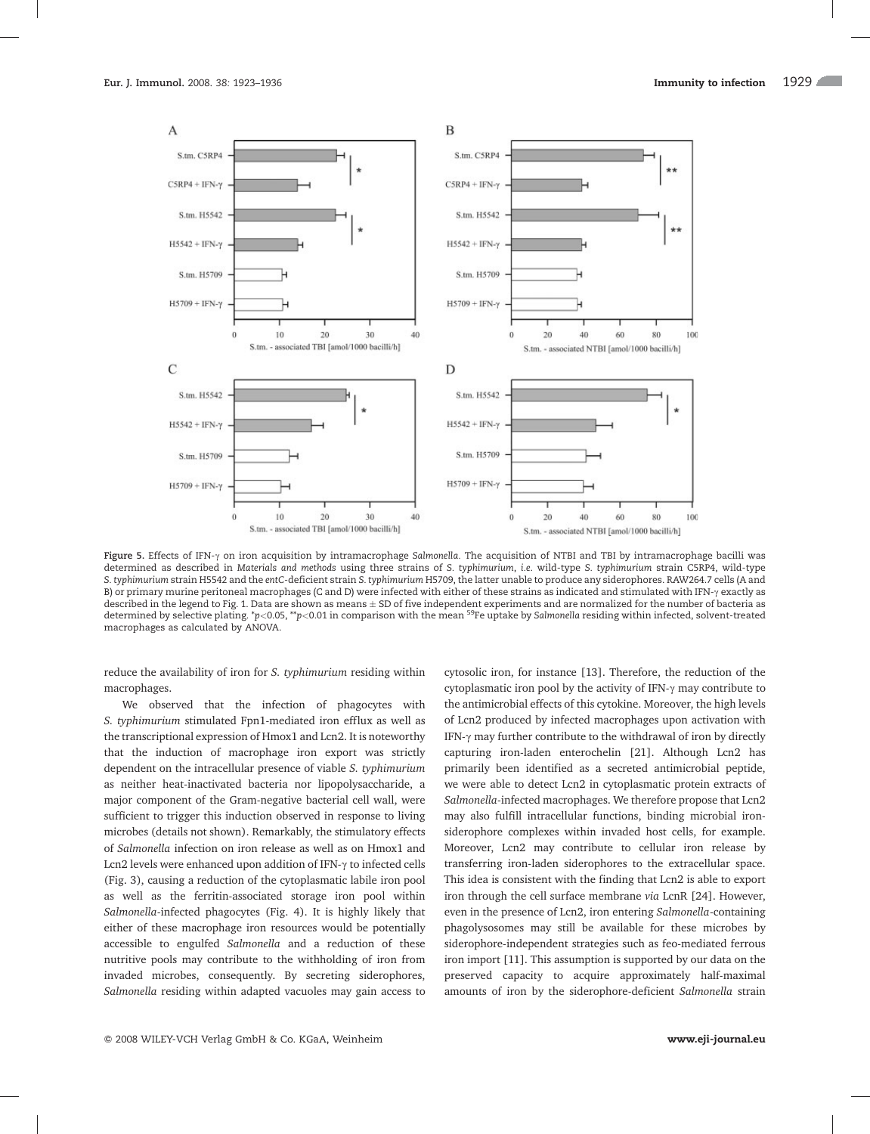

Figure 5. Effects of IFN- $\gamma$  on iron acquisition by intramacrophage Salmonella. The acquisition of NTBI and TBI by intramacrophage bacilli was determined as described in Materials and methods using three strains of S. typhimurium, i.e. wild-type S. typhimurium strain C5RP4, wild-type S. typhimurium strain H5542 and the entC-deficient strain S. typhimurium H5709, the latter unable to produce any siderophores. RAW264.7 cells (A and B) or primary murine peritoneal macrophages (C and D) were infected with either of these strains as indicated and stimulated with IFN- $\gamma$  exactly as described in the legend to Fig. 1. Data are shown as means  $\pm$  SD of five independent experiments and are normalized for the number of bacteria as determined by selective plating. \*p<0.05, \*\*p<0.01 in comparison with the mean <sup>59</sup>Fe uptake by Salmonella residing within infected, solvent-treated macrophages as calculated by ANOVA.

reduce the availability of iron for S. typhimurium residing within macrophages.

We observed that the infection of phagocytes with S. typhimurium stimulated Fpn1-mediated iron efflux as well as the transcriptional expression of Hmox1 and Lcn2. It is noteworthy that the induction of macrophage iron export was strictly dependent on the intracellular presence of viable S. typhimurium as neither heat-inactivated bacteria nor lipopolysaccharide, a major component of the Gram-negative bacterial cell wall, were sufficient to trigger this induction observed in response to living microbes (details not shown). Remarkably, the stimulatory effects of Salmonella infection on iron release as well as on Hmox1 and Lcn2 levels were enhanced upon addition of IFN- $\gamma$  to infected cells (Fig. 3), causing a reduction of the cytoplasmatic labile iron pool as well as the ferritin-associated storage iron pool within Salmonella-infected phagocytes (Fig. 4). It is highly likely that either of these macrophage iron resources would be potentially accessible to engulfed Salmonella and a reduction of these nutritive pools may contribute to the withholding of iron from invaded microbes, consequently. By secreting siderophores, Salmonella residing within adapted vacuoles may gain access to

cytosolic iron, for instance [13]. Therefore, the reduction of the cytoplasmatic iron pool by the activity of IFN- $\gamma$  may contribute to the antimicrobial effects of this cytokine. Moreover, the high levels of Lcn2 produced by infected macrophages upon activation with IFN- $\gamma$  may further contribute to the withdrawal of iron by directly capturing iron-laden enterochelin [21]. Although Lcn2 has primarily been identified as a secreted antimicrobial peptide, we were able to detect Lcn2 in cytoplasmatic protein extracts of Salmonella-infected macrophages. We therefore propose that Lcn2 may also fulfill intracellular functions, binding microbial ironsiderophore complexes within invaded host cells, for example. Moreover, Lcn2 may contribute to cellular iron release by transferring iron-laden siderophores to the extracellular space. This idea is consistent with the finding that Lcn2 is able to export iron through the cell surface membrane via LcnR [24]. However, even in the presence of Lcn2, iron entering Salmonella-containing phagolysosomes may still be available for these microbes by siderophore-independent strategies such as feo-mediated ferrous iron import [11]. This assumption is supported by our data on the preserved capacity to acquire approximately half-maximal amounts of iron by the siderophore-deficient Salmonella strain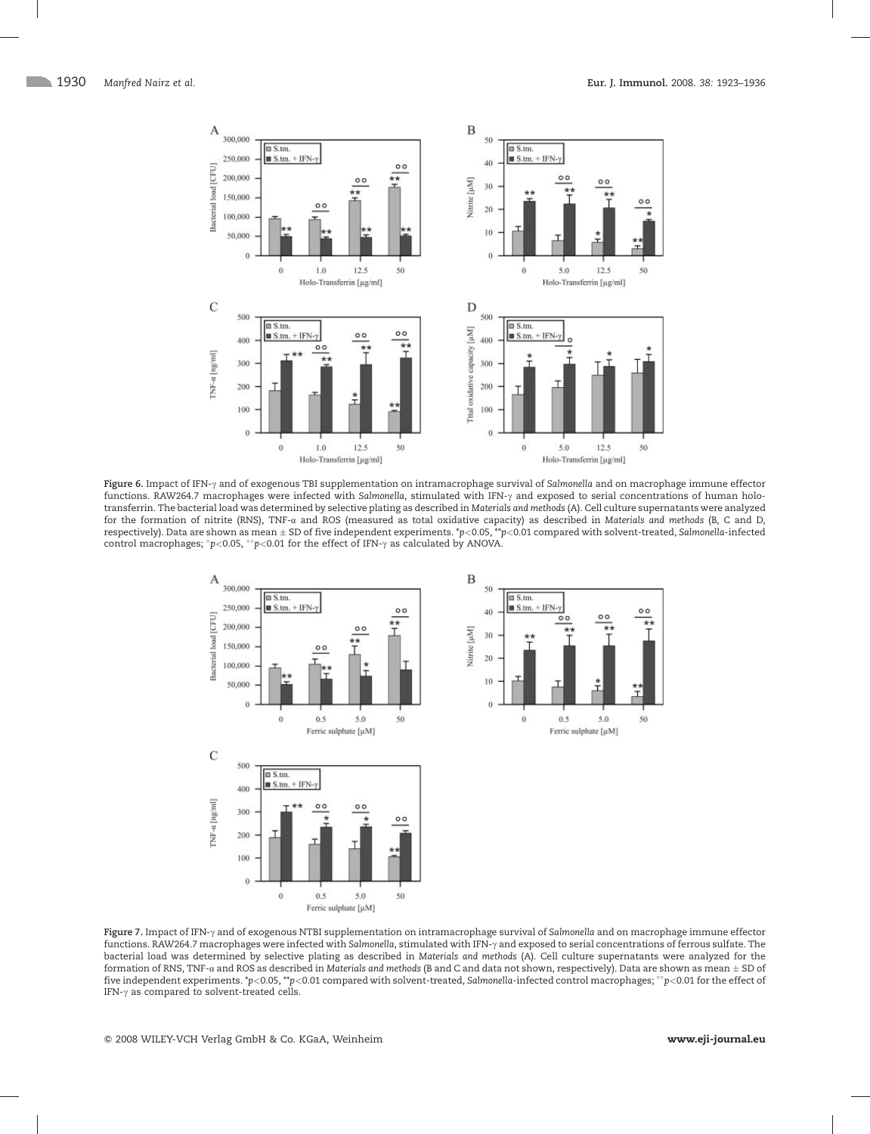

Figure 6. Impact of IFN- $\gamma$  and of exogenous TBI supplementation on intramacrophage survival of Salmonella and on macrophage immune effector functions. RAW264.7 macrophages were infected with Salmonella, stimulated with IFN- $\gamma$  and exposed to serial concentrations of human holotransferrin. The bacterial load was determined by selective plating as described in Materials and methods (A). Cell culture supernatants were analyzed for the formation of nitrite (RNS), TNF-a and ROS (measured as total oxidative capacity) as described in Materials and methods (B, C and D, respectively). Data are shown as mean  $\pm$  SD of five independent experiments. \*p<0.05, \*\*p<0.01 compared with solvent-treated, Salmonella-infected control macrophages;  $^\circ p<$  0.05,  $^\circ$   $p<$  0.01 for the effect of IFN- $\gamma$  as calculated by ANOVA.



Figure 7. Impact of IFN-y and of exogenous NTBI supplementation on intramacrophage survival of Salmonella and on macrophage immune effector functions. RAW264.7 macrophages were infected with Salmonella, stimulated with IFN-y and exposed to serial concentrations of ferrous sulfate. The bacterial load was determined by selective plating as described in Materials and methods (A). Cell culture supernatants were analyzed for the formation of RNS, TNF-a and ROS as described in Materials and methods (B and C and data not shown, respectively). Data are shown as mean  $\pm$  SD of five independent experiments. \*p<0.05, \*\*p<0.01 compared with solvent-treated, Salmonella-infected control macrophages;  $^{\circ}$ p<0.01 for the effect of IFN- $\gamma$  as compared to solvent-treated cells.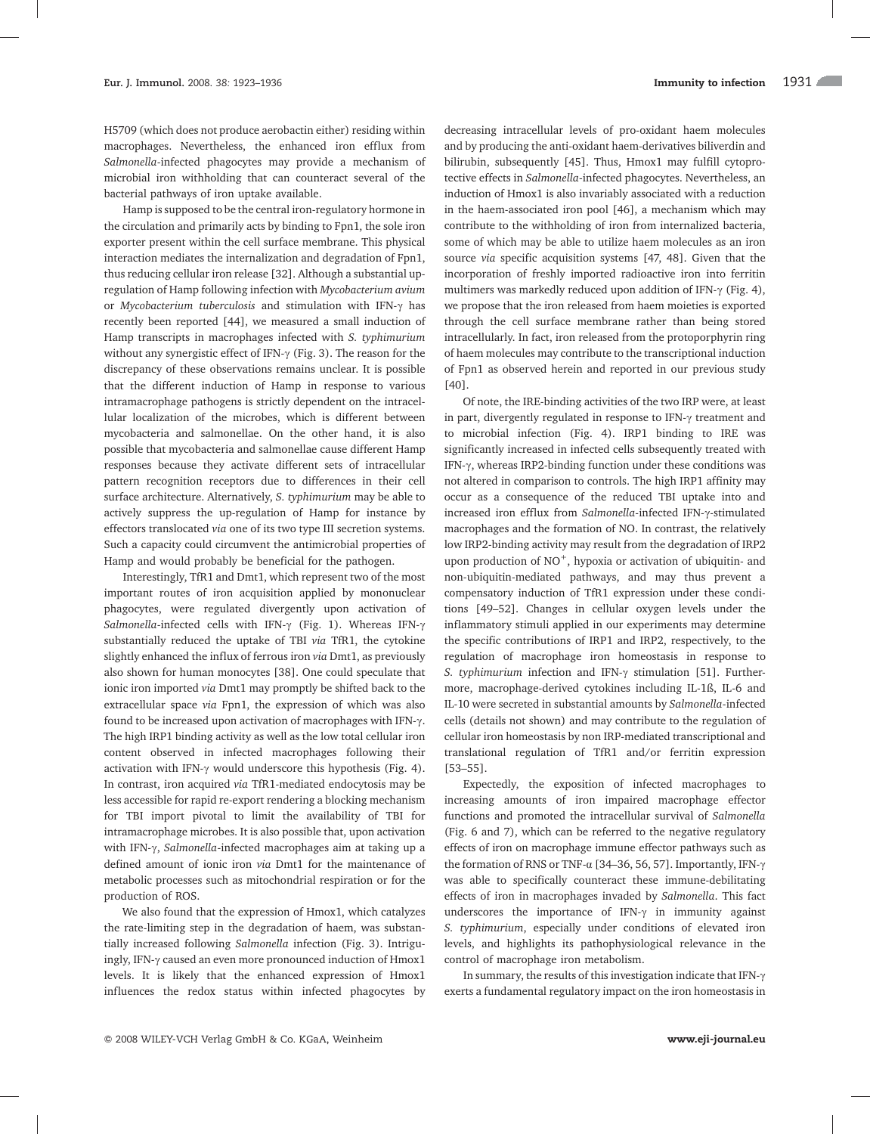H5709 (which does not produce aerobactin either) residing within macrophages. Nevertheless, the enhanced iron efflux from Salmonella-infected phagocytes may provide a mechanism of microbial iron withholding that can counteract several of the bacterial pathways of iron uptake available.

Hamp is supposed to be the central iron-regulatory hormone in the circulation and primarily acts by binding to Fpn1, the sole iron exporter present within the cell surface membrane. This physical interaction mediates the internalization and degradation of Fpn1, thus reducing cellular iron release [32]. Although a substantial upregulation of Hamp following infection with Mycobacterium avium or Mycobacterium tuberculosis and stimulation with IFN- $\gamma$  has recently been reported [44], we measured a small induction of Hamp transcripts in macrophages infected with S. typhimurium without any synergistic effect of IFN- $\gamma$  (Fig. 3). The reason for the discrepancy of these observations remains unclear. It is possible that the different induction of Hamp in response to various intramacrophage pathogens is strictly dependent on the intracellular localization of the microbes, which is different between mycobacteria and salmonellae. On the other hand, it is also possible that mycobacteria and salmonellae cause different Hamp responses because they activate different sets of intracellular pattern recognition receptors due to differences in their cell surface architecture. Alternatively, S. typhimurium may be able to actively suppress the up-regulation of Hamp for instance by effectors translocated via one of its two type III secretion systems. Such a capacity could circumvent the antimicrobial properties of Hamp and would probably be beneficial for the pathogen.

Interestingly, TfR1 and Dmt1, which represent two of the most important routes of iron acquisition applied by mononuclear phagocytes, were regulated divergently upon activation of Salmonella-infected cells with IFN- $\gamma$  (Fig. 1). Whereas IFN- $\gamma$ substantially reduced the uptake of TBI via TfR1, the cytokine slightly enhanced the influx of ferrous iron via Dmt1, as previously also shown for human monocytes [38]. One could speculate that ionic iron imported via Dmt1 may promptly be shifted back to the extracellular space via Fpn1, the expression of which was also found to be increased upon activation of macrophages with IFN- $\gamma$ . The high IRP1 binding activity as well as the low total cellular iron content observed in infected macrophages following their activation with IFN- $\gamma$  would underscore this hypothesis (Fig. 4). In contrast, iron acquired via TfR1-mediated endocytosis may be less accessible for rapid re-export rendering a blocking mechanism for TBI import pivotal to limit the availability of TBI for intramacrophage microbes. It is also possible that, upon activation with IFN- $\gamma$ , Salmonella-infected macrophages aim at taking up a defined amount of ionic iron via Dmt1 for the maintenance of metabolic processes such as mitochondrial respiration or for the production of ROS.

We also found that the expression of Hmox1, which catalyzes the rate-limiting step in the degradation of haem, was substantially increased following Salmonella infection (Fig. 3). Intriguingly, IFN- $\gamma$  caused an even more pronounced induction of Hmox1 levels. It is likely that the enhanced expression of Hmox1 influences the redox status within infected phagocytes by decreasing intracellular levels of pro-oxidant haem molecules and by producing the anti-oxidant haem-derivatives biliverdin and bilirubin, subsequently [45]. Thus, Hmox1 may fulfill cytoprotective effects in Salmonella-infected phagocytes. Nevertheless, an induction of Hmox1 is also invariably associated with a reduction in the haem-associated iron pool [46], a mechanism which may contribute to the withholding of iron from internalized bacteria, some of which may be able to utilize haem molecules as an iron source via specific acquisition systems [47, 48]. Given that the incorporation of freshly imported radioactive iron into ferritin multimers was markedly reduced upon addition of IFN- $\gamma$  (Fig. 4), we propose that the iron released from haem moieties is exported through the cell surface membrane rather than being stored intracellularly. In fact, iron released from the protoporphyrin ring of haem molecules may contribute to the transcriptional induction of Fpn1 as observed herein and reported in our previous study [40].

Of note, the IRE-binding activities of the two IRP were, at least in part, divergently regulated in response to IFN- $\gamma$  treatment and to microbial infection (Fig. 4). IRP1 binding to IRE was significantly increased in infected cells subsequently treated with IFN- $\gamma$ , whereas IRP2-binding function under these conditions was not altered in comparison to controls. The high IRP1 affinity may occur as a consequence of the reduced TBI uptake into and increased iron efflux from Salmonella-infected IFN-y-stimulated macrophages and the formation of NO. In contrast, the relatively low IRP2-binding activity may result from the degradation of IRP2 upon production of  $NO<sup>+</sup>$ , hypoxia or activation of ubiquitin- and non-ubiquitin-mediated pathways, and may thus prevent a compensatory induction of TfR1 expression under these conditions [49–52]. Changes in cellular oxygen levels under the inflammatory stimuli applied in our experiments may determine the specific contributions of IRP1 and IRP2, respectively, to the regulation of macrophage iron homeostasis in response to S. typhimurium infection and IFN- $\gamma$  stimulation [51]. Furthermore, macrophage-derived cytokines including IL-1ß, IL-6 and IL-10 were secreted in substantial amounts by Salmonella-infected cells (details not shown) and may contribute to the regulation of cellular iron homeostasis by non IRP-mediated transcriptional and translational regulation of TfR1 and/or ferritin expression [53–55].

Expectedly, the exposition of infected macrophages to increasing amounts of iron impaired macrophage effector functions and promoted the intracellular survival of Salmonella (Fig. 6 and 7), which can be referred to the negative regulatory effects of iron on macrophage immune effector pathways such as the formation of RNS or TNF- $\alpha$  [34-36, 56, 57]. Importantly, IFN- $\gamma$ was able to specifically counteract these immune-debilitating effects of iron in macrophages invaded by Salmonella. This fact underscores the importance of IFN- $\gamma$  in immunity against S. typhimurium, especially under conditions of elevated iron levels, and highlights its pathophysiological relevance in the control of macrophage iron metabolism.

In summary, the results of this investigation indicate that IFN- $\gamma$ exerts a fundamental regulatory impact on the iron homeostasis in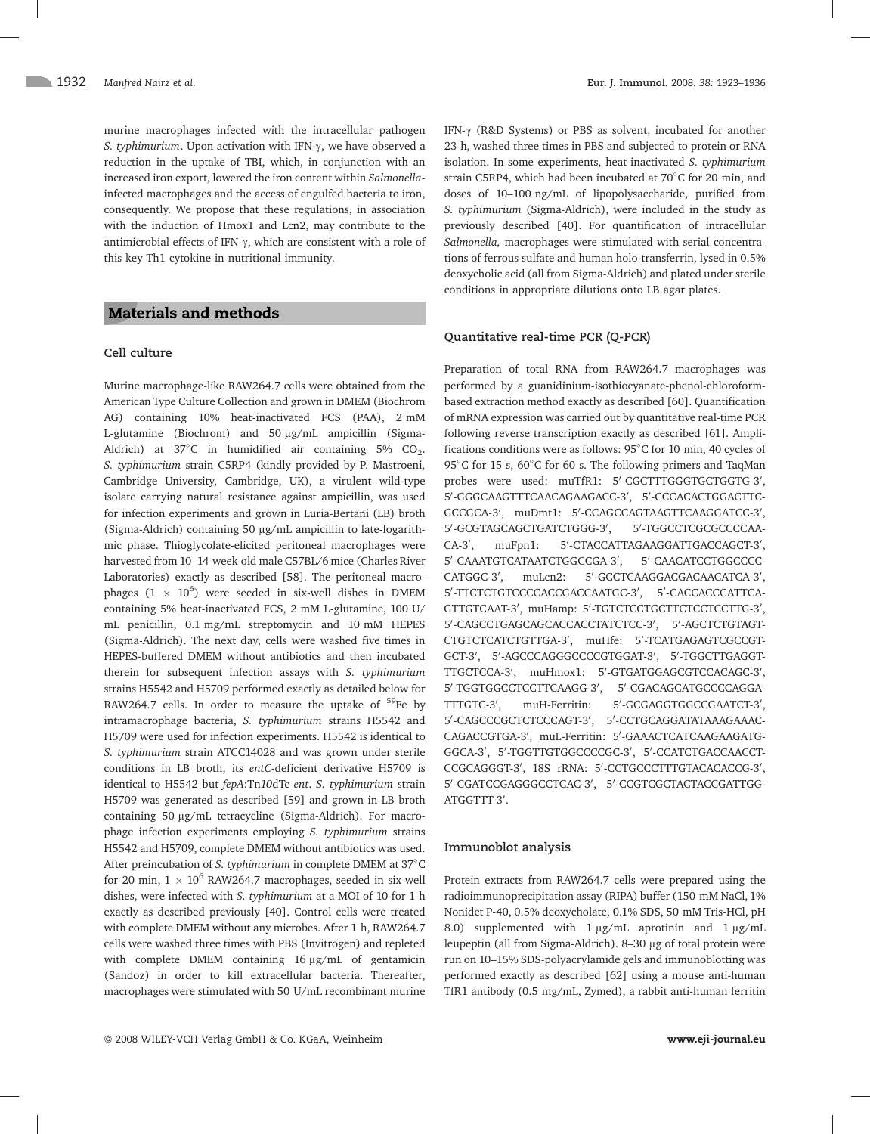murine macrophages infected with the intracellular pathogen S. typhimurium. Upon activation with IFN- $\gamma$ , we have observed a reduction in the uptake of TBI, which, in conjunction with an increased iron export, lowered the iron content within Salmonellainfected macrophages and the access of engulfed bacteria to iron, consequently. We propose that these regulations, in association with the induction of Hmox1 and Lcn2, may contribute to the antimicrobial effects of IFN- $\gamma$ , which are consistent with a role of this key Th1 cytokine in nutritional immunity.

## **Materials and methods**

## Cell culture

Murine macrophage-like RAW264.7 cells were obtained from the American Type Culture Collection and grown in DMEM (Biochrom AG) containing 10% heat-inactivated FCS (PAA), 2 mM L-glutamine (Biochrom) and 50 µg/mL ampicillin (Sigma-Aldrich) at  $37^{\circ}$ C in humidified air containing  $5\%$  CO<sub>2</sub>. S. typhimurium strain C5RP4 (kindly provided by P. Mastroeni, Cambridge University, Cambridge, UK), a virulent wild-type isolate carrying natural resistance against ampicillin, was used for infection experiments and grown in Luria-Bertani (LB) broth (Sigma-Aldrich) containing 50 µg/mL ampicillin to late-logarithmic phase. Thioglycolate-elicited peritoneal macrophages were harvested from 10–14-week-old male C57BL/6 mice (Charles River Laboratories) exactly as described [58]. The peritoneal macrophages  $(1 \times 10^6)$  were seeded in six-well dishes in DMEM containing 5% heat-inactivated FCS, 2 mM L-glutamine, 100 U/ mL penicillin, 0.1 mg/mL streptomycin and 10 mM HEPES (Sigma-Aldrich). The next day, cells were washed five times in HEPES-buffered DMEM without antibiotics and then incubated therein for subsequent infection assays with S. typhimurium strains H5542 and H5709 performed exactly as detailed below for RAW264.7 cells. In order to measure the uptake of  $59$ Fe by intramacrophage bacteria, S. typhimurium strains H5542 and H5709 were used for infection experiments. H5542 is identical to S. typhimurium strain ATCC14028 and was grown under sterile conditions in LB broth, its entC-deficient derivative H5709 is identical to H5542 but fepA:Tn10dTc ent. S. typhimurium strain H5709 was generated as described [59] and grown in LB broth containing 50 µg/mL tetracycline (Sigma-Aldrich). For macrophage infection experiments employing S. typhimurium strains H5542 and H5709, complete DMEM without antibiotics was used. After preincubation of S. typhimurium in complete DMEM at 37°C for 20 min,  $1 \times 10^6$  RAW264.7 macrophages, seeded in six-well dishes, were infected with S. typhimurium at a MOI of 10 for 1 h exactly as described previously [40]. Control cells were treated with complete DMEM without any microbes. After 1 h, RAW264.7 cells were washed three times with PBS (Invitrogen) and repleted with complete DMEM containing 16 µg/mL of gentamicin (Sandoz) in order to kill extracellular bacteria. Thereafter, macrophages were stimulated with 50 U/mL recombinant murine IFN- $\gamma$  (R&D Systems) or PBS as solvent, incubated for another 23 h, washed three times in PBS and subjected to protein or RNA isolation. In some experiments, heat-inactivated S. typhimurium strain C5RP4, which had been incubated at 70 C for 20 min, and doses of 10–100 ng/mL of lipopolysaccharide, purified from S. typhimurium (Sigma-Aldrich), were included in the study as previously described [40]. For quantification of intracellular Salmonella, macrophages were stimulated with serial concentrations of ferrous sulfate and human holo-transferrin, lysed in 0.5% deoxycholic acid (all from Sigma-Aldrich) and plated under sterile conditions in appropriate dilutions onto LB agar plates.

#### Quantitative real-time PCR (Q-PCR)

Preparation of total RNA from RAW264.7 macrophages was performed by a guanidinium-isothiocyanate-phenol-chloroformbased extraction method exactly as described [60]. Quantification of mRNA expression was carried out by quantitative real-time PCR following reverse transcription exactly as described [61]. Amplifications conditions were as follows: 95 C for 10 min, 40 cycles of 95°C for 15 s, 60°C for 60 s. The following primers and TaqMan probes were used: muTfR1: 5'-CGCTTTGGGTGCTGGTG-3', 5'-GGGCAAGTTTCAACAGAAGACC-3', 5'-CCCACACTGGACTTC-GCCGCA-3', muDmt1: 5'-CCAGCCAGTAAGTTCAAGGATCC-3', 5'-GCGTAGCAGCTGATCTGGG-3' , 5'-TGGCCTCGCGCCCCAA- $CA-3'$ , muFpn1: -CTACCATTAGAAGGATTGACCAGCT-3', 5'-CAAATGTCATAATCTGGCCGA-3' , 5'-CAACATCCTGGCCCC- $CATGGC-3'$ . muLcn2: -GCCTCAAGGACGACAACATCA-3', 5'-TTCTCTGTCCCCACCGACCAATGC-3', 5'-CACCACCCATTCA-GTTGTCAAT-3', muHamp: 5'-TGTCTCCTGCTTCTCCTCCTTG-3', 5'-CAGCCTGAGCAGCACCACCTATCTCC-3', 5'-AGCTCTGTAGT-CTGTCTCATCTGTTGA-3', muHfe: 5'-TCATGAGAGTCGCCGT-GCT-3', 5'-AGCCCAGGGCCCCGTGGAT-3', 5'-TGGCTTGAGGT-TTGCTCCA-3', muHmox1: 5'-GTGATGGAGCGTCCACAGC-3', 5'-TGGTGGCCTCCTTCAAGG-3', 5'-CGACAGCATGCCCCAGGA-TTTGTC-3'. muH-Ferritin: -GCGAGGTGGCCGAATCT-3', 5'-CAGCCCGCTCTCCCAGT-3', 5'-CCTGCAGGATATAAAGAAAC-CAGACCGTGA-3', muL-Ferritin: 5'-GAAACTCATCAAGAAGATG-GGCA-3', 5'-TGGTTGTGGCCCCGC-3', 5'-CCATCTGACCAACCT-CCGCAGGGT-3', 18S rRNA: 5'-CCTGCCCTTTGTACACACCG-3', 5'-CGATCCGAGGGCCTCAC-3', 5'-CCGTCGCTACTACCGATTGG-ATGGTTT-3'.

#### Immunoblot analysis

Protein extracts from RAW264.7 cells were prepared using the radioimmunoprecipitation assay (RIPA) buffer (150 mM NaCl, 1% Nonidet P-40, 0.5% deoxycholate, 0.1% SDS, 50 mM Tris-HCl, pH 8.0) supplemented with  $1 \mu g/mL$  aprotinin and  $1 \mu g/mL$ leupeptin (all from Sigma-Aldrich). 8–30 μg of total protein were run on 10–15% SDS-polyacrylamide gels and immunoblotting was performed exactly as described [62] using a mouse anti-human TfR1 antibody (0.5 mg/mL, Zymed), a rabbit anti-human ferritin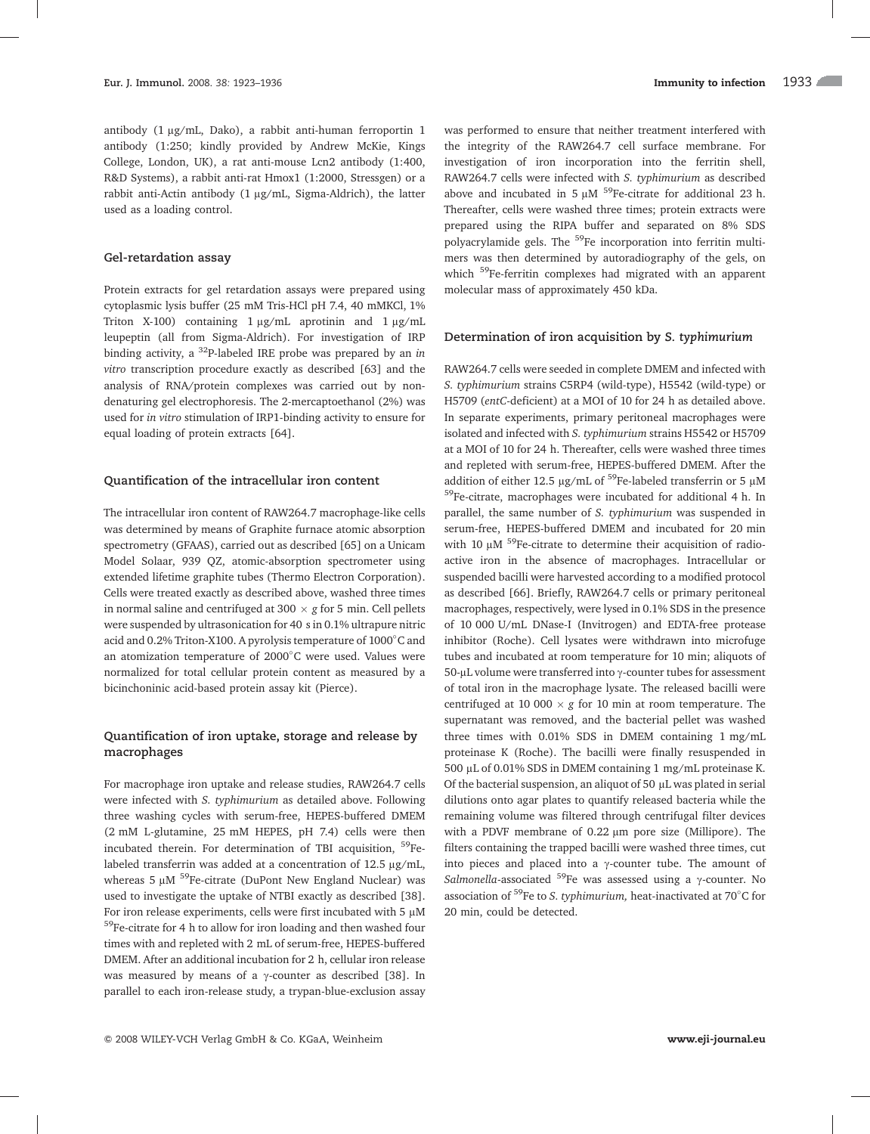antibody (1 ug/mL, Dako), a rabbit anti-human ferroportin 1 antibody (1:250; kindly provided by Andrew McKie, Kings College, London, UK), a rat anti-mouse Lcn2 antibody (1:400, R&D Systems), a rabbit anti-rat Hmox1 (1:2000, Stressgen) or a rabbit anti-Actin antibody  $(1 \mu g/mL)$ , Sigma-Aldrich), the latter used as a loading control.

#### Gel-retardation assay

Protein extracts for gel retardation assays were prepared using cytoplasmic lysis buffer (25 mM Tris-HCl pH 7.4, 40 mMKCl, 1% Triton X-100) containing  $1 \mu g/mL$  aprotinin and  $1 \mu g/mL$ leupeptin (all from Sigma-Aldrich). For investigation of IRP binding activity, a  $^{32}P$ -labeled IRE probe was prepared by an in vitro transcription procedure exactly as described [63] and the analysis of RNA/protein complexes was carried out by nondenaturing gel electrophoresis. The 2-mercaptoethanol (2%) was used for in vitro stimulation of IRP1-binding activity to ensure for equal loading of protein extracts [64].

#### Quantification of the intracellular iron content

The intracellular iron content of RAW264.7 macrophage-like cells was determined by means of Graphite furnace atomic absorption spectrometry (GFAAS), carried out as described [65] on a Unicam Model Solaar, 939 QZ, atomic-absorption spectrometer using extended lifetime graphite tubes (Thermo Electron Corporation). Cells were treated exactly as described above, washed three times in normal saline and centrifuged at 300  $\times$  g for 5 min. Cell pellets were suspended by ultrasonication for 40 s in 0.1% ultrapure nitric acid and 0.2% Triton-X100. A pyrolysis temperature of 1000 C and an atomization temperature of 2000 C were used. Values were normalized for total cellular protein content as measured by a bicinchoninic acid-based protein assay kit (Pierce).

## Quantification of iron uptake, storage and release by macrophages

For macrophage iron uptake and release studies, RAW264.7 cells were infected with S. typhimurium as detailed above. Following three washing cycles with serum-free, HEPES-buffered DMEM (2 mM L-glutamine, 25 mM HEPES, pH 7.4) cells were then incubated therein. For determination of TBI acquisition, 59Felabeled transferrin was added at a concentration of  $12.5 \mu g/mL$ , whereas 5  $\mu$ M <sup>59</sup>Fe-citrate (DuPont New England Nuclear) was used to investigate the uptake of NTBI exactly as described [38]. For iron release experiments, cells were first incubated with 5  $\mu$ M  $^{59}\!$  Fe-citrate for 4 h to allow for iron loading and then washed four times with and repleted with 2 mL of serum-free, HEPES-buffered DMEM. After an additional incubation for 2 h, cellular iron release was measured by means of a  $\gamma$ -counter as described [38]. In parallel to each iron-release study, a trypan-blue-exclusion assay

was performed to ensure that neither treatment interfered with the integrity of the RAW264.7 cell surface membrane. For investigation of iron incorporation into the ferritin shell, RAW264.7 cells were infected with S. typhimurium as described above and incubated in 5  $\mu$ M <sup>59</sup>Fe-citrate for additional 23 h. Thereafter, cells were washed three times; protein extracts were prepared using the RIPA buffer and separated on 8% SDS polyacrylamide gels. The <sup>59</sup>Fe incorporation into ferritin multimers was then determined by autoradiography of the gels, on which <sup>59</sup>Fe-ferritin complexes had migrated with an apparent molecular mass of approximately 450 kDa.

#### Determination of iron acquisition by S. typhimurium

RAW264.7 cells were seeded in complete DMEM and infected with S. typhimurium strains C5RP4 (wild-type), H5542 (wild-type) or H5709 (entC-deficient) at a MOI of 10 for 24 h as detailed above. In separate experiments, primary peritoneal macrophages were isolated and infected with S. typhimurium strains H5542 or H5709 at a MOI of 10 for 24 h. Thereafter, cells were washed three times and repleted with serum-free, HEPES-buffered DMEM. After the addition of either 12.5 µg/mL of  $^{59}$ Fe-labeled transferrin or 5 µM <sup>59</sup>Fe-citrate, macrophages were incubated for additional 4 h. In parallel, the same number of S. typhimurium was suspended in serum-free, HEPES-buffered DMEM and incubated for 20 min with 10  $\mu$ M <sup>59</sup>Fe-citrate to determine their acquisition of radioactive iron in the absence of macrophages. Intracellular or suspended bacilli were harvested according to a modified protocol as described [66]. Briefly, RAW264.7 cells or primary peritoneal macrophages, respectively, were lysed in 0.1% SDS in the presence of 10 000 U/mL DNase-I (Invitrogen) and EDTA-free protease inhibitor (Roche). Cell lysates were withdrawn into microfuge tubes and incubated at room temperature for 10 min; aliquots of 50-µL volume were transferred into  $\gamma$ -counter tubes for assessment of total iron in the macrophage lysate. The released bacilli were centrifuged at 10 000  $\times$  g for 10 min at room temperature. The supernatant was removed, and the bacterial pellet was washed three times with 0.01% SDS in DMEM containing 1 mg/mL proteinase K (Roche). The bacilli were finally resuspended in 500 μL of 0.01% SDS in DMEM containing 1 mg/mL proteinase K. Of the bacterial suspension, an aliquot of 50  $\mu$ L was plated in serial dilutions onto agar plates to quantify released bacteria while the remaining volume was filtered through centrifugal filter devices with a PDVF membrane of  $0.22 \mu m$  pore size (Millipore). The filters containing the trapped bacilli were washed three times, cut into pieces and placed into a  $\gamma$ -counter tube. The amount of Salmonella-associated <sup>59</sup>Fe was assessed using a  $\gamma$ -counter. No association of  $^{59}$ Fe to *S. typhimurium*, heat-inactivated at 70 $^{\circ}$ C for 20 min, could be detected.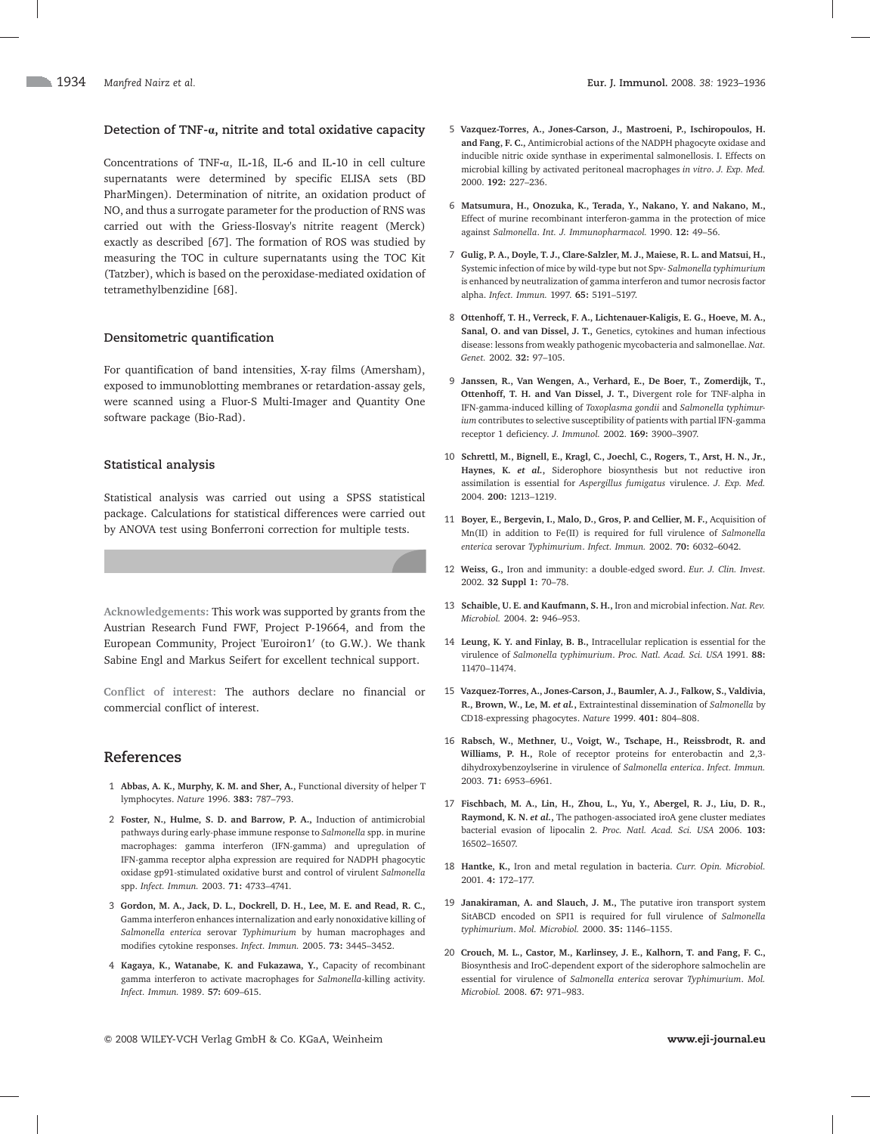#### Detection of TNF- $\alpha$ , nitrite and total oxidative capacity

Concentrations of TNF-a, IL-1ß, IL-6 and IL-10 in cell culture supernatants were determined by specific ELISA sets (BD PharMingen). Determination of nitrite, an oxidation product of NO, and thus a surrogate parameter for the production of RNS was carried out with the Griess-Ilosvay's nitrite reagent (Merck) exactly as described [67]. The formation of ROS was studied by measuring the TOC in culture supernatants using the TOC Kit (Tatzber), which is based on the peroxidase-mediated oxidation of tetramethylbenzidine [68].

#### Densitometric quantification

For quantification of band intensities, X-ray films (Amersham), exposed to immunoblotting membranes or retardation-assay gels, were scanned using a Fluor-S Multi-Imager and Quantity One software package (Bio-Rad).

#### Statistical analysis

Statistical analysis was carried out using a SPSS statistical package. Calculations for statistical differences were carried out by ANOVA test using Bonferroni correction for multiple tests.

Acknowledgements: This work was supported by grants from the Austrian Research Fund FWF, Project P-19664, and from the European Community, Project 'Euroiron1' (to G.W.). We thank Sabine Engl and Markus Seifert for excellent technical support.

Conflict of interest: The authors declare no financial or commercial conflict of interest.

## References

- 1 Abbas, A. K., Murphy, K. M. and Sher, A., Functional diversity of helper T lymphocytes. Nature 1996. 383: 787–793.
- 2 Foster, N., Hulme, S. D. and Barrow, P. A., Induction of antimicrobial pathways during early-phase immune response to Salmonella spp. in murine macrophages: gamma interferon (IFN-gamma) and upregulation of IFN-gamma receptor alpha expression are required for NADPH phagocytic oxidase gp91-stimulated oxidative burst and control of virulent Salmonella spp. Infect. Immun. 2003. 71: 4733–4741.
- 3 Gordon, M. A., Jack, D. L., Dockrell, D. H., Lee, M. E. and Read, R. C., Gamma interferon enhances internalization and early nonoxidative killing of Salmonella enterica serovar Typhimurium by human macrophages and modifies cytokine responses. Infect. Immun. 2005. 73: 3445–3452.
- 4 Kagaya, K., Watanabe, K. and Fukazawa, Y., Capacity of recombinant gamma interferon to activate macrophages for Salmonella-killing activity. Infect. Immun. 1989. 57: 609–615.
- 5 Vazquez-Torres, A., Jones-Carson, J., Mastroeni, P., Ischiropoulos, H. and Fang, F. C., Antimicrobial actions of the NADPH phagocyte oxidase and inducible nitric oxide synthase in experimental salmonellosis. I. Effects on microbial killing by activated peritoneal macrophages in vitro. J. Exp. Med. 2000. 192: 227–236.
- 6 Matsumura, H., Onozuka, K., Terada, Y., Nakano, Y. and Nakano, M., Effect of murine recombinant interferon-gamma in the protection of mice against Salmonella. Int. J. Immunopharmacol. 1990. 12: 49–56.
- 7 Gulig, P. A., Doyle, T. J., Clare-Salzler, M. J., Maiese, R. L. and Matsui, H., Systemic infection of mice by wild-type but not Spv- Salmonella typhimurium is enhanced by neutralization of gamma interferon and tumor necrosis factor alpha. Infect. Immun. 1997. 65: 5191–5197.
- 8 Ottenhoff, T. H., Verreck, F. A., Lichtenauer-Kaligis, E. G., Hoeve, M. A., Sanal, O. and van Dissel, J. T., Genetics, cytokines and human infectious disease: lessons from weakly pathogenic mycobacteria and salmonellae. Nat. Genet. 2002. 32: 97–105.
- 9 Janssen, R., Van Wengen, A., Verhard, E., De Boer, T., Zomerdijk, T., Ottenhoff, T. H. and Van Dissel, J. T., Divergent role for TNF-alpha in IFN-gamma-induced killing of Toxoplasma gondii and Salmonella typhimurium contributes to selective susceptibility of patients with partial IFN-gamma receptor 1 deficiency. J. Immunol. 2002. 169: 3900–3907.
- 10 Schrettl, M., Bignell, E., Kragl, C., Joechl, C., Rogers, T., Arst, H. N., Jr., Haynes, K. et al., Siderophore biosynthesis but not reductive iron assimilation is essential for Aspergillus fumigatus virulence. J. Exp. Med. 2004. 200: 1213–1219.
- 11 Boyer, E., Bergevin, I., Malo, D., Gros, P. and Cellier, M. F., Acquisition of Mn(II) in addition to Fe(II) is required for full virulence of Salmonella enterica serovar Typhimurium. Infect. Immun. 2002. 70: 6032–6042.
- 12 Weiss, G., Iron and immunity: a double-edged sword. Eur. J. Clin. Invest. 2002. 32 Suppl 1: 70–78.
- 13 Schaible, U. E. and Kaufmann, S. H., Iron and microbial infection. Nat. Rev. Microbiol. 2004. 2: 946–953.
- 14 Leung, K. Y. and Finlay, B. B., Intracellular replication is essential for the virulence of Salmonella typhimurium. Proc. Natl. Acad. Sci. USA 1991. 88: 11470–11474.
- 15 Vazquez-Torres, A., Jones-Carson, J., Baumler, A. J., Falkow, S., Valdivia, R., Brown, W., Le, M. et al., Extraintestinal dissemination of Salmonella by CD18-expressing phagocytes. Nature 1999. 401: 804–808.
- 16 Rabsch, W., Methner, U., Voigt, W., Tschape, H., Reissbrodt, R. and Williams, P. H., Role of receptor proteins for enterobactin and 2,3 dihydroxybenzoylserine in virulence of Salmonella enterica. Infect. Immun. 2003. 71: 6953–6961.
- 17 Fischbach, M. A., Lin, H., Zhou, L., Yu, Y., Abergel, R. J., Liu, D. R., Raymond, K. N. et al., The pathogen-associated iroA gene cluster mediates bacterial evasion of lipocalin 2. Proc. Natl. Acad. Sci. USA 2006. 103: 16502–16507.
- 18 Hantke, K., Iron and metal regulation in bacteria. Curr. Opin. Microbiol. 2001. 4: 172–177.
- 19 Janakiraman, A. and Slauch, J. M., The putative iron transport system SitABCD encoded on SPI1 is required for full virulence of Salmonella typhimurium. Mol. Microbiol. 2000. 35: 1146–1155.
- 20 Crouch, M. L., Castor, M., Karlinsey, J. E., Kalhorn, T. and Fang, F. C., Biosynthesis and IroC-dependent export of the siderophore salmochelin are essential for virulence of Salmonella enterica serovar Typhimurium. Mol. Microbiol. 2008. 67: 971–983.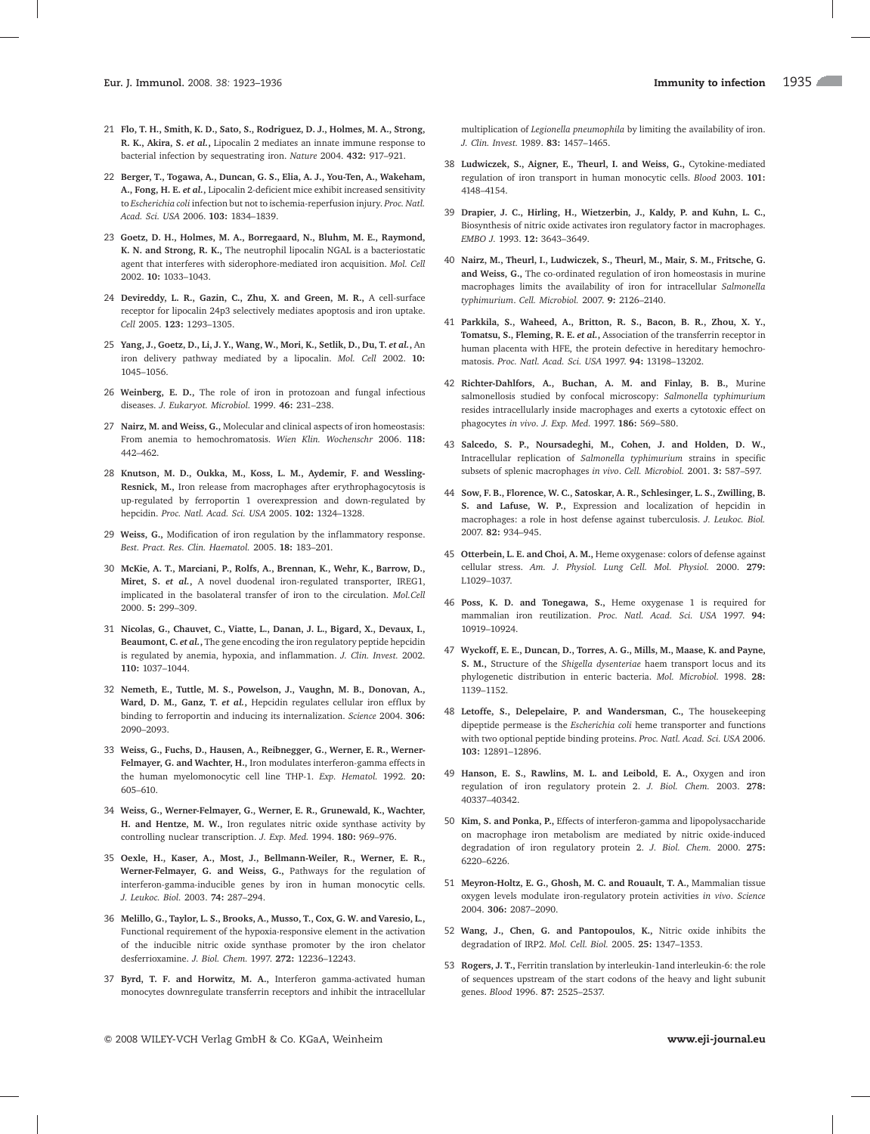- 21 Flo, T. H., Smith, K. D., Sato, S., Rodriguez, D. J., Holmes, M. A., Strong, R. K., Akira, S. et al., Lipocalin 2 mediates an innate immune response to bacterial infection by sequestrating iron. Nature 2004. 432: 917–921.
- 22 Berger, T., Togawa, A., Duncan, G. S., Elia, A. J., You-Ten, A., Wakeham, A., Fong, H. E. et al., Lipocalin 2-deficient mice exhibit increased sensitivity to Escherichia coli infection but not to ischemia-reperfusion injury. Proc. Natl. Acad. Sci. USA 2006. 103: 1834–1839.
- 23 Goetz, D. H., Holmes, M. A., Borregaard, N., Bluhm, M. E., Raymond, K. N. and Strong, R. K., The neutrophil lipocalin NGAL is a bacteriostatic agent that interferes with siderophore-mediated iron acquisition. Mol. Cell 2002. 10: 1033–1043.
- 24 Devireddy, L. R., Gazin, C., Zhu, X. and Green, M. R., A cell-surface receptor for lipocalin 24p3 selectively mediates apoptosis and iron uptake. Cell 2005. 123: 1293–1305.
- 25 Yang, J., Goetz, D., Li, J. Y., Wang, W., Mori, K., Setlik, D., Du, T. et al., An iron delivery pathway mediated by a lipocalin. Mol. Cell 2002. 10: 1045–1056.
- 26 Weinberg, E. D., The role of iron in protozoan and fungal infectious diseases. J. Eukaryot. Microbiol. 1999. 46: 231–238.
- 27 Nairz, M. and Weiss, G., Molecular and clinical aspects of iron homeostasis: From anemia to hemochromatosis. Wien Klin. Wochenschr 2006. 118: 442–462.
- 28 Knutson, M. D., Oukka, M., Koss, L. M., Aydemir, F. and Wessling-Resnick, M., Iron release from macrophages after erythrophagocytosis is up-regulated by ferroportin 1 overexpression and down-regulated by hepcidin. Proc. Natl. Acad. Sci. USA 2005. 102: 1324–1328.
- 29 Weiss, G., Modification of iron regulation by the inflammatory response. Best. Pract. Res. Clin. Haematol. 2005. 18: 183–201.
- 30 McKie, A. T., Marciani, P., Rolfs, A., Brennan, K., Wehr, K., Barrow, D., Miret, S. et al., A novel duodenal iron-regulated transporter, IREG1, implicated in the basolateral transfer of iron to the circulation. Mol.Cell 2000. 5: 299–309.
- 31 Nicolas, G., Chauvet, C., Viatte, L., Danan, J. L., Bigard, X., Devaux, I., Beaumont, C. et al., The gene encoding the iron regulatory peptide hepcidin is regulated by anemia, hypoxia, and inflammation. J. Clin. Invest. 2002. 110: 1037–1044.
- 32 Nemeth, E., Tuttle, M. S., Powelson, J., Vaughn, M. B., Donovan, A., Ward, D. M., Ganz, T. et al., Hepcidin regulates cellular iron efflux by binding to ferroportin and inducing its internalization. Science 2004. 306: 2090–2093.
- 33 Weiss, G., Fuchs, D., Hausen, A., Reibnegger, G., Werner, E. R., Werner-Felmayer, G. and Wachter, H., Iron modulates interferon-gamma effects in the human myelomonocytic cell line THP-1. Exp. Hematol. 1992. 20: 605–610.
- 34 Weiss, G., Werner-Felmayer, G., Werner, E. R., Grunewald, K., Wachter, H. and Hentze, M. W., Iron regulates nitric oxide synthase activity by controlling nuclear transcription. J. Exp. Med. 1994. 180: 969–976.
- 35 Oexle, H., Kaser, A., Most, J., Bellmann-Weiler, R., Werner, E. R., Werner-Felmayer, G. and Weiss, G., Pathways for the regulation of interferon-gamma-inducible genes by iron in human monocytic cells. J. Leukoc. Biol. 2003. 74: 287–294.
- 36 Melillo, G., Taylor, L. S., Brooks, A., Musso, T., Cox, G. W. and Varesio, L., Functional requirement of the hypoxia-responsive element in the activation of the inducible nitric oxide synthase promoter by the iron chelator desferrioxamine. J. Biol. Chem. 1997. 272: 12236–12243.
- 37 Byrd, T. F. and Horwitz, M. A., Interferon gamma-activated human monocytes downregulate transferrin receptors and inhibit the intracellular

multiplication of Legionella pneumophila by limiting the availability of iron. J. Clin. Invest. 1989. 83: 1457–1465.

- 38 Ludwiczek, S., Aigner, E., Theurl, I. and Weiss, G., Cytokine-mediated regulation of iron transport in human monocytic cells. Blood 2003. 101: 4148–4154.
- 39 Drapier, J. C., Hirling, H., Wietzerbin, J., Kaldy, P. and Kuhn, L. C., Biosynthesis of nitric oxide activates iron regulatory factor in macrophages. EMBO J. 1993. 12: 3643–3649.
- 40 Nairz, M., Theurl, I., Ludwiczek, S., Theurl, M., Mair, S. M., Fritsche, G. and Weiss, G., The co-ordinated regulation of iron homeostasis in murine macrophages limits the availability of iron for intracellular Salmonella typhimurium. Cell. Microbiol. 2007. 9: 2126–2140.
- 41 Parkkila, S., Waheed, A., Britton, R. S., Bacon, B. R., Zhou, X. Y., Tomatsu, S., Fleming, R. E. et al., Association of the transferrin receptor in human placenta with HFE, the protein defective in hereditary hemochromatosis. Proc. Natl. Acad. Sci. USA 1997. 94: 13198–13202.
- 42 Richter-Dahlfors, A., Buchan, A. M. and Finlay, B. B., Murine salmonellosis studied by confocal microscopy: Salmonella typhimurium resides intracellularly inside macrophages and exerts a cytotoxic effect on phagocytes in vivo. J. Exp. Med. 1997. 186: 569–580.
- 43 Salcedo, S. P., Noursadeghi, M., Cohen, J. and Holden, D. W., Intracellular replication of Salmonella typhimurium strains in specific subsets of splenic macrophages in vivo. Cell. Microbiol. 2001. 3: 587–597.
- 44 Sow, F. B., Florence, W. C., Satoskar, A. R., Schlesinger, L. S., Zwilling, B. S. and Lafuse, W. P., Expression and localization of hepcidin in macrophages: a role in host defense against tuberculosis. J. Leukoc. Biol. 2007. 82: 934–945.
- 45 Otterbein, L. E. and Choi, A. M., Heme oxygenase: colors of defense against cellular stress. Am. J. Physiol. Lung Cell. Mol. Physiol. 2000. 279: L1029–1037.
- 46 Poss, K. D. and Tonegawa, S., Heme oxygenase 1 is required for mammalian iron reutilization. Proc. Natl. Acad. Sci. USA 1997. 94: 10919–10924.
- 47 Wyckoff, E. E., Duncan, D., Torres, A. G., Mills, M., Maase, K. and Payne, S. M., Structure of the Shigella dysenteriae haem transport locus and its phylogenetic distribution in enteric bacteria. Mol. Microbiol. 1998. 28: 1139–1152.
- 48 Letoffe, S., Delepelaire, P. and Wandersman, C., The housekeeping dipeptide permease is the Escherichia coli heme transporter and functions with two optional peptide binding proteins. Proc. Natl. Acad. Sci. USA 2006. 103: 12891–12896.
- 49 Hanson, E. S., Rawlins, M. L. and Leibold, E. A., Oxygen and iron regulation of iron regulatory protein 2. J. Biol. Chem. 2003. 278: 40337–40342.
- 50 Kim, S. and Ponka, P., Effects of interferon-gamma and lipopolysaccharide on macrophage iron metabolism are mediated by nitric oxide-induced degradation of iron regulatory protein 2. J. Biol. Chem. 2000. 275: 6220–6226.
- 51 Meyron-Holtz, E. G., Ghosh, M. C. and Rouault, T. A., Mammalian tissue oxygen levels modulate iron-regulatory protein activities in vivo. Science 2004. 306: 2087–2090.
- 52 Wang, J., Chen, G. and Pantopoulos, K., Nitric oxide inhibits the degradation of IRP2. Mol. Cell. Biol. 2005. 25: 1347–1353.
- 53 Rogers, J. T., Ferritin translation by interleukin-1and interleukin-6: the role of sequences upstream of the start codons of the heavy and light subunit genes. Blood 1996. 87: 2525–2537.